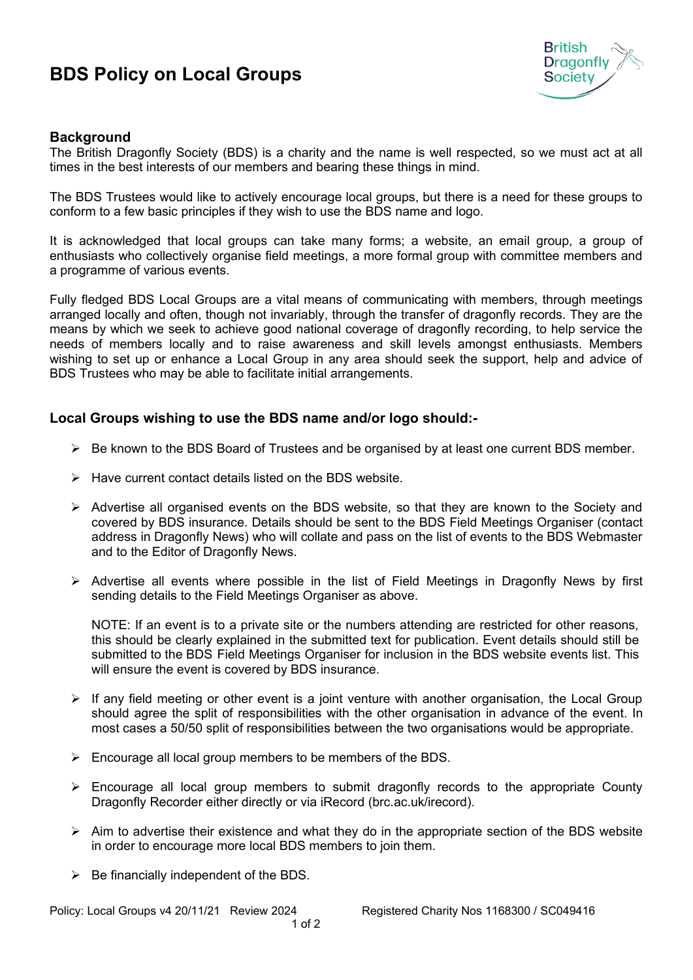## **BDS Policy on Local Groups**



## **Background**

The British Dragonfly Society (BDS) is a charity and the name is well respected, so we must act at all times in the best interests of our members and bearing these things in mind.

The BDS Trustees would like to actively encourage local groups, but there is a need for these groups to conform to a few basic principles if they wish to use the BDS name and logo.

It is acknowledged that local groups can take many forms; a website, an email group, a group of enthusiasts who collectively organise field meetings, a more formal group with committee members and a programme of various events.

Fully fledged BDS Local Groups are a vital means of communicating with members, through meetings arranged locally and often, though not invariably, through the transfer of dragonfly records. They are the means by which we seek to achieve good national coverage of dragonfly recording, to help service the needs of members locally and to raise awareness and skill levels amongst enthusiasts. Members wishing to set up or enhance a Local Group in any area should seek the support, help and advice of BDS Trustees who may be able to facilitate initial arrangements.

## **Local Groups wishing to use the BDS name and/or logo should:-**

- $\triangleright$  Be known to the BDS Board of Trustees and be organised by at least one current BDS member.
- $\triangleright$  Have current contact details listed on the BDS website.
- $\triangleright$  Advertise all organised events on the BDS website, so that they are known to the Society and covered by BDS insurance. Details should be sent to the BDS Field Meetings Organiser (contact address in Dragonfly News) who will collate and pass on the list of events to the BDS Webmaster and to the Editor of Dragonfly News.
- $\triangleright$  Advertise all events where possible in the list of Field Meetings in Dragonfly News by first sending details to the Field Meetings Organiser as above.

NOTE: If an event is to a private site or the numbers attending are restricted for other reasons, this should be clearly explained in the submitted text for publication. Event details should still be submitted to the BDS Field Meetings Organiser for inclusion in the BDS website events list. This will ensure the event is covered by BDS insurance.

- $\triangleright$  If any field meeting or other event is a joint venture with another organisation, the Local Group should agree the split of responsibilities with the other organisation in advance of the event. In most cases a 50/50 split of responsibilities between the two organisations would be appropriate.
- $\triangleright$  Encourage all local group members to be members of the BDS.
- $\triangleright$  Encourage all local group members to submit dragonfly records to the appropriate County Dragonfly Recorder either directly or via iRecord (brc.ac.uk/irecord).
- $\triangleright$  Aim to advertise their existence and what they do in the appropriate section of the BDS website in order to encourage more local BDS members to join them.
- $\triangleright$  Be financially independent of the BDS.